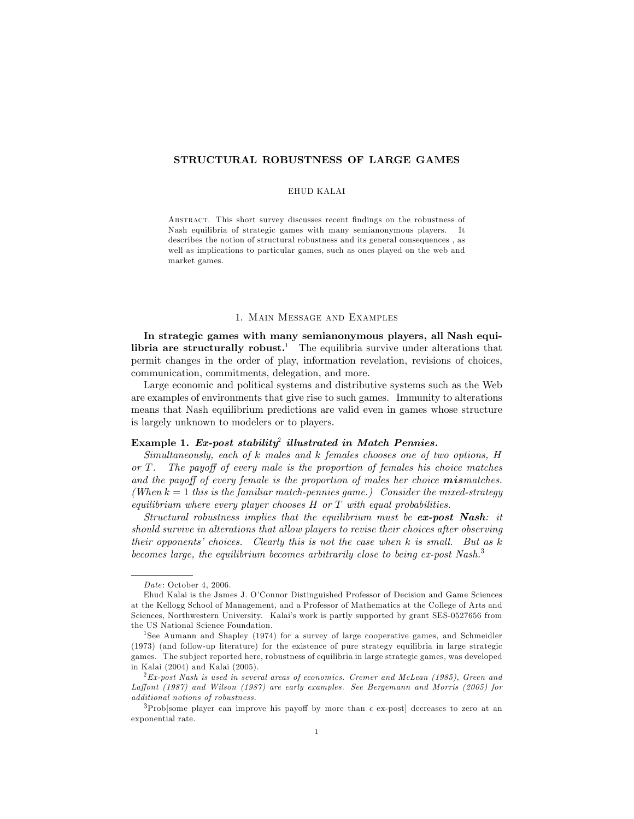# STRUCTURAL ROBUSTNESS OF LARGE GAMES

### EHUD KALAI

ABSTRACT. This short survey discusses recent findings on the robustness of Nash equilibria of strategic games with many semianonymous players. It describes the notion of structural robustness and its general consequences , as well as implications to particular games, such as ones played on the web and market games.

## 1. Main Message and Examples

In strategic games with many semianonymous players, all Nash equi**libria are structurally robust.**<sup>1</sup> The equilibria survive under alterations that permit changes in the order of play, information revelation, revisions of choices, communication, commitments, delegation, and more.

Large economic and political systems and distributive systems such as the Web are examples of environments that give rise to such games. Immunity to alterations means that Nash equilibrium predictions are valid even in games whose structure is largely unknown to modelers or to players.

# Example 1. Ex-post stability<sup>2</sup> illustrated in Match Pennies.

Simultaneously, each of k males and k females chooses one of two options, H or  $T$ . The payoff of every male is the proportion of females his choice matches and the payoff of every female is the proportion of males her choice **mismatches.** (When  $k = 1$  this is the familiar match-pennies game.) Consider the mixed-strategy equilibrium where every player chooses  $H$  or  $T$  with equal probabilities.

Structural robustness implies that the equilibrium must be ex-post Nash: it should survive in alterations that allow players to revise their choices after observing their opponents' choices. Clearly this is not the case when k is small. But as  $k$ becomes large, the equilibrium becomes arbitrarily close to being  $ex$ -post Nash.<sup>3</sup>

Date: October 4, 2006.

Ehud Kalai is the James J. OíConnor Distinguished Professor of Decision and Game Sciences at the Kellogg School of Management, and a Professor of Mathematics at the College of Arts and Sciences, Northwestern University. Kalaiís work is partly supported by grant SES-0527656 from the US National Science Foundation.

<sup>1</sup>See Aumann and Shapley (1974) for a survey of large cooperative games, and Schmeidler (1973) (and follow-up literature) for the existence of pure strategy equilibria in large strategic games. The sub ject reported here, robustness of equilibria in large strategic games, was developed in Kalai (2004) and Kalai (2005).

 ${}^{2}Ex$ -post Nash is used in several areas of economics. Cremer and McLean (1985), Green and Laffont (1987) and Wilson (1987) are early examples. See Bergemann and Morris (2005) for additional notions of robustness.

 $3P_{\rm Prob}$ [some player can improve his payoff by more than  $\epsilon$  ex-post] decreases to zero at an exponential rate.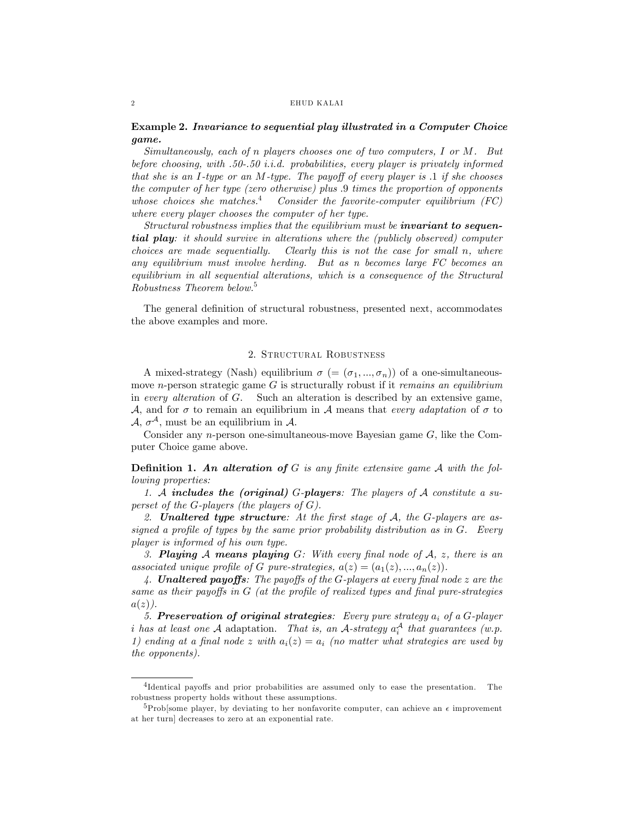#### 2 EHUD KALA I

# Example 2. Invariance to sequential play illustrated in a Computer Choice game.

Simultaneously, each of n players chooses one of two computers, I or M. But before choosing, with .50-.50 i.i.d. probabilities, every player is privately informed that she is an I-type or an M-type. The payoff of every player is  $\Lambda$  if she chooses the computer of her type (zero otherwise) plus :9 times the proportion of opponents whose choices she matches.<sup>4</sup> Consider the favorite-computer equilibrium  $(FC)$ where every player chooses the computer of her type.

Structural robustness implies that the equilibrium must be **invariant to sequen**tial play: it should survive in alterations where the (publicly observed) computer choices are made sequentially. Clearly this is not the case for small n, where any equilibrium must involve herding. But as n becomes large FC becomes an equilibrium in all sequential alterations, which is a consequence of the Structural Robustness Theorem below.<sup>5</sup>

The general definition of structural robustness, presented next, accommodates the above examples and more.

### 2. Structural Robustness

A mixed-strategy (Nash) equilibrium  $\sigma$  (=  $(\sigma_1, ..., \sigma_n)$ ) of a one-simultaneousmove *n*-person strategic game  $G$  is structurally robust if it *remains an equilibrium* in every alteration of G. Such an alteration is described by an extensive game, A, and for  $\sigma$  to remain an equilibrium in A means that every adaptation of  $\sigma$  to  $A, \sigma^A$ , must be an equilibrium in  $A$ .

Consider any n-person one-simultaneous-move Bayesian game  $G$ , like the Computer Choice game above.

**Definition 1.** An alteration of G is any finite extensive game A with the following properties:

1. A includes the (original) G-players: The players of A constitute a superset of the G-players (the players of  $G$ ).

2. **Unaltered type structure**: At the first stage of  $A$ , the  $G$ -players are assigned a profile of types by the same prior probability distribution as in  $G$ . Every player is informed of his own type.

3. **Playing A means playing G**: With every final node of  $A$ ,  $z$ , there is an associated unique profile of G pure-strategies,  $a(z) = (a_1(z), ..., a_n(z)).$ 

4. **Unaltered payoffs**: The payoffs of the G-players at every final node  $z$  are the same as their payoffs in  $G$  (at the profile of realized types and final pure-strategies  $a(z)$ .

5. Preservation of original strategies: Every pure strategy  $a_i$  of a G-player i has at least one A adaptation. That is, an A-strategy  $a_i^{\mathcal{A}}$  that guarantees (w.p. 1) ending at a final node z with  $a_i(z) = a_i$  (no matter what strategies are used by the opponents).

<sup>&</sup>lt;sup>4</sup>Identical payoffs and prior probabilities are assumed only to ease the presentation. The robustness property holds without these assumptions.

<sup>&</sup>lt;sup>5</sup>Prob[some player, by deviating to her nonfavorite computer, can achieve an  $\epsilon$  improvement at her turn] decreases to zero at an exponential rate.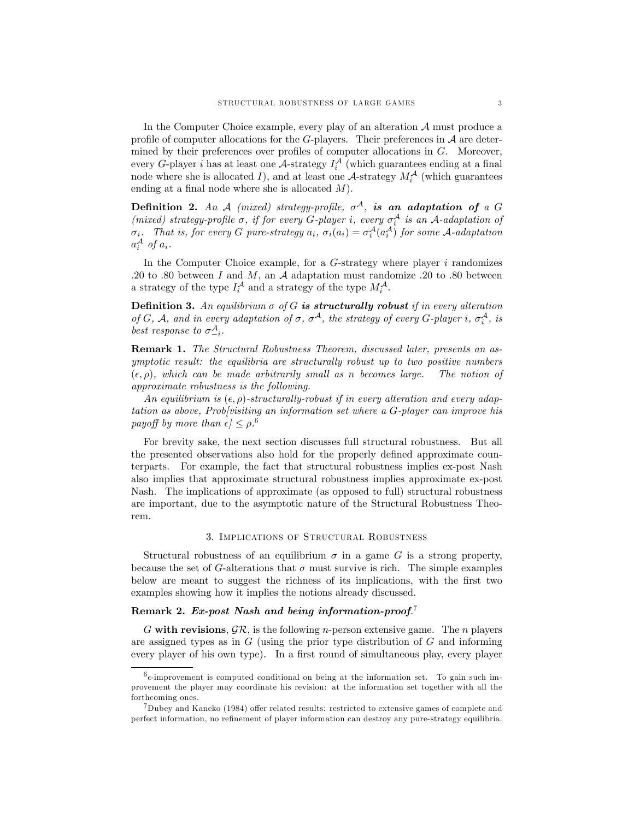In the Computer Choice example, every play of an alteration  $A$  must produce a profile of computer allocations for the  $G$ -players. Their preferences in  $\mathcal A$  are determined by their preferences over profiles of computer allocations in  $G$ . Moreover, every G-player *i* has at least one A-strategy  $I_i^{\mathcal{A}}$  (which guarantees ending at a final node where she is allocated I), and at least one A-strategy  $M_i^{\mathcal{A}}$  (which guarantees ending at a final node where she is allocated  $M$ ).

**Definition 2.** An A (mixed) strategy-profile,  $\sigma^A$ , is an adaptation of a G (mixed) strategy-profile  $\sigma$ , if for every G-player i, every  $\sigma_i^A$  is an A-adaptation of  $\sigma_i$ . That is, for every G pure-strategy  $a_i$ ,  $\sigma_i(a_i) = \sigma_i^{\mathcal{A}}(a_i^{\mathcal{A}})$  for some A-adaptation  $a_i^{\mathcal{A}}$  of  $a_i$ .

In the Computer Choice example, for a  $G$ -strategy where player i randomizes .20 to .80 between I and M, an A adaptation must randomize .20 to .80 between a strategy of the type  $I_i^{\mathcal{A}}$  and a strategy of the type  $M_i^{\mathcal{A}}$ .

**Definition 3.** An equilibrium  $\sigma$  of G is structurally robust if in every alteration of G, A, and in every adaptation of  $\sigma$ ,  $\sigma^A$ , the strategy of every G-player i,  $\sigma_i^A$ , is best response to  $\sigma_{-i}^A$ .

Remark 1. The Structural Robustness Theorem, discussed later, presents an asymptotic result: the equilibria are structurally robust up to two positive numbers  $(\epsilon, \rho)$ , which can be made arbitrarily small as n becomes large. The notion of approximate robustness is the following.

An equilibrium is  $(\epsilon, \rho)$ -structurally-robust if in every alteration and every adaptation as above, Prob[visiting an information set where a G-player can improve his payoff by more than  $\epsilon$   $\leq \rho$ .<sup>6</sup>

For brevity sake, the next section discusses full structural robustness. But all the presented observations also hold for the properly defined approximate counterparts. For example, the fact that structural robustness implies ex-post Nash also implies that approximate structural robustness implies approximate ex-post Nash. The implications of approximate (as opposed to full) structural robustness are important, due to the asymptotic nature of the Structural Robustness Theorem.

#### 3. Implications of Structural Robustness

Structural robustness of an equilibrium  $\sigma$  in a game G is a strong property, because the set of G-alterations that  $\sigma$  must survive is rich. The simple examples below are meant to suggest the richness of its implications, with the first two examples showing how it implies the notions already discussed.

# Remark 2. Ex-post Nash and being information-proof.<sup>7</sup>

G with revisions,  $\mathcal{GR}$ , is the following *n*-person extensive game. The *n* players are assigned types as in  $G$  (using the prior type distribution of  $G$  and informing every player of his own type). In a first round of simultaneous play, every player

 $6\epsilon$ -improvement is computed conditional on being at the information set. To gain such improvement the player may coordinate his revision: at the information set together with all the forthcoming ones.

 $7$ Dubey and Kaneko (1984) offer related results: restricted to extensive games of complete and perfect information, no refinement of player information can destroy any pure-strategy equilibria.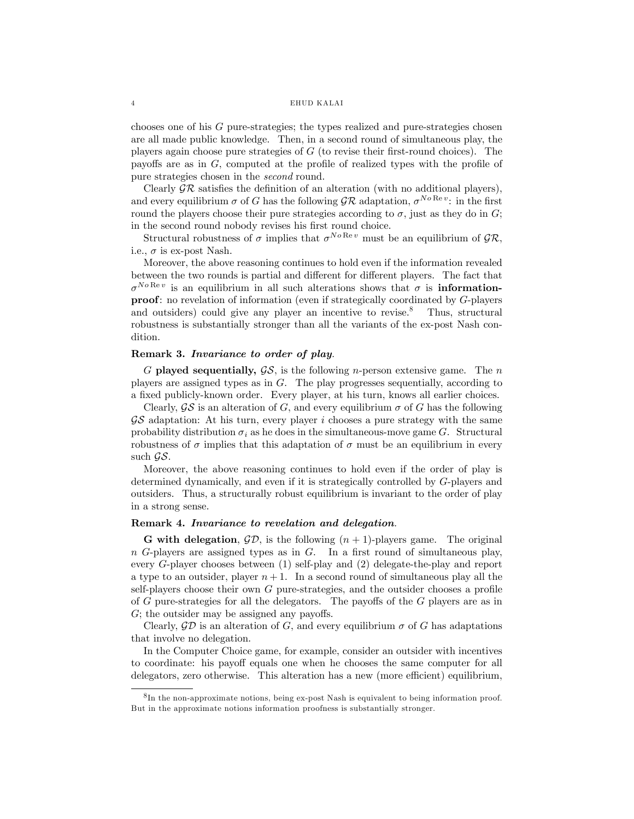#### 4 EHUD KALA I

chooses one of his  $G$  pure-strategies; the types realized and pure-strategies chosen are all made public knowledge. Then, in a second round of simultaneous play, the players again choose pure strategies of  $G$  (to revise their first-round choices). The payoffs are as in  $G$ , computed at the profile of realized types with the profile of pure strategies chosen in the second round.

Clearly  $\mathcal{GR}$  satisfies the definition of an alteration (with no additional players), and every equilibrium  $\sigma$  of G has the following  $\mathcal{GR}$  adaptation,  $\sigma^{No \text{Re} v}$ : in the first round the players choose their pure strategies according to  $\sigma$ , just as they do in G; in the second round nobody revises his first round choice.

Structural robustness of  $\sigma$  implies that  $\sigma^{No \text{Re} v}$  must be an equilibrium of  $\mathcal{GR}$ , i.e.,  $\sigma$  is ex-post Nash.

Moreover, the above reasoning continues to hold even if the information revealed between the two rounds is partial and different for different players. The fact that  $\sigma^{No\operatorname{Re}v}$  is an equilibrium in all such alterations shows that  $\sigma$  is **information**proof: no revelation of information (even if strategically coordinated by G-players and outsiders) could give any player an incentive to revise.<sup>8</sup> Thus, structural robustness is substantially stronger than all the variants of the ex-post Nash condition.

### Remark 3. Invariance to order of play.

G played sequentially,  $\mathcal{G}\mathcal{S}$ , is the following *n*-person extensive game. The *n* players are assigned types as in G. The play progresses sequentially, according to a fixed publicly-known order. Every player, at his turn, knows all earlier choices.

Clearly,  $\mathcal{G}\mathcal{S}$  is an alteration of G, and every equilibrium  $\sigma$  of G has the following  $\mathcal{G}\mathcal{S}$  adaptation: At his turn, every player i chooses a pure strategy with the same probability distribution  $\sigma_i$  as he does in the simultaneous-move game G. Structural robustness of  $\sigma$  implies that this adaptation of  $\sigma$  must be an equilibrium in every such  $\mathcal{G}\mathcal{S}$ .

Moreover, the above reasoning continues to hold even if the order of play is determined dynamically, and even if it is strategically controlled by G-players and outsiders. Thus, a structurally robust equilibrium is invariant to the order of play in a strong sense.

### Remark 4. Invariance to revelation and delegation.

**G** with delegation,  $\mathcal{GD}$ , is the following  $(n + 1)$ -players game. The original  $n$  G-players are assigned types as in G. In a first round of simultaneous play, every G-player chooses between (1) self-play and (2) delegate-the-play and report a type to an outsider, player  $n+1$ . In a second round of simultaneous play all the self-players choose their own  $G$  pure-strategies, and the outsider chooses a profile of  $G$  pure-strategies for all the delegators. The payoffs of the  $G$  players are as in  $G$ ; the outsider may be assigned any payoffs.

Clearly,  $\mathcal{GD}$  is an alteration of G, and every equilibrium  $\sigma$  of G has adaptations that involve no delegation.

In the Computer Choice game, for example, consider an outsider with incentives to coordinate: his payoff equals one when he chooses the same computer for all delegators, zero otherwise. This alteration has a new (more efficient) equilibrium,

<sup>&</sup>lt;sup>8</sup>In the non-approximate notions, being ex-post Nash is equivalent to being information proof. But in the approximate notions information proofness is substantially stronger.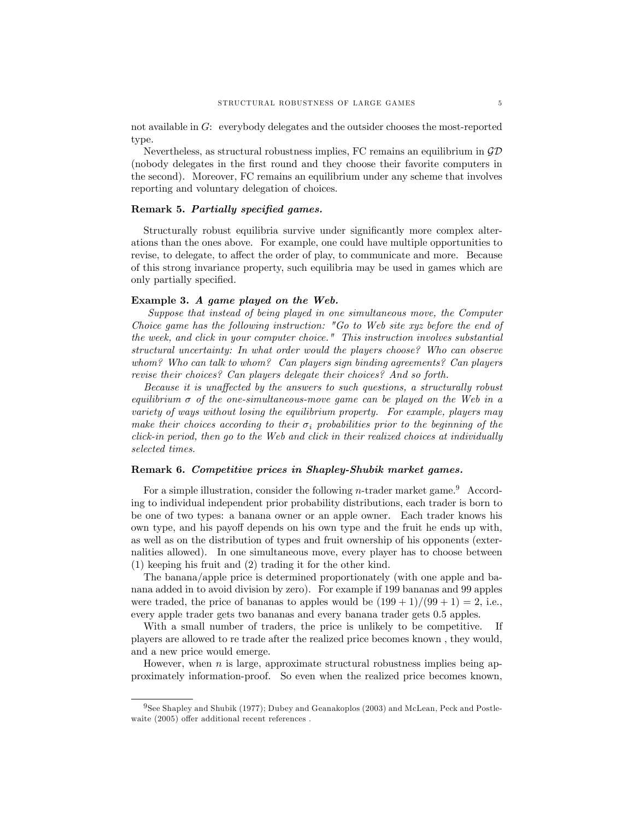not available in G: everybody delegates and the outsider chooses the most-reported type.

Nevertheless, as structural robustness implies, FC remains an equilibrium in  $\mathcal{GD}$ (nobody delegates in the Örst round and they choose their favorite computers in the second). Moreover, FC remains an equilibrium under any scheme that involves reporting and voluntary delegation of choices.

# Remark 5. Partially specified games.

Structurally robust equilibria survive under significantly more complex alterations than the ones above. For example, one could have multiple opportunities to revise, to delegate, to affect the order of play, to communicate and more. Because of this strong invariance property, such equilibria may be used in games which are only partially specified.

## Example 3. A game played on the Web.

Suppose that instead of being played in one simultaneous move, the Computer Choice game has the following instruction: "Go to Web site xyz before the end of the week, and click in your computer choice." This instruction involves substantial structural uncertainty: In what order would the players choose? Who can observe whom? Who can talk to whom? Can players sign binding agreements? Can players revise their choices? Can players delegate their choices? And so forth.

Because it is unaffected by the answers to such questions, a structurally robust equilibrium  $\sigma$  of the one-simultaneous-move game can be played on the Web in a variety of ways without losing the equilibrium property. For example, players may make their choices according to their  $\sigma_i$  probabilities prior to the beginning of the click-in period, then go to the Web and click in their realized choices at individually selected times.

## Remark 6. Competitive prices in Shapley-Shubik market games.

For a simple illustration, consider the following *n*-trader market game.<sup>9</sup> According to individual independent prior probability distributions, each trader is born to be one of two types: a banana owner or an apple owner. Each trader knows his own type, and his payoff depends on his own type and the fruit he ends up with, as well as on the distribution of types and fruit ownership of his opponents (externalities allowed). In one simultaneous move, every player has to choose between (1) keeping his fruit and (2) trading it for the other kind.

The banana/apple price is determined proportionately (with one apple and banana added in to avoid division by zero). For example if 199 bananas and 99 apples were traded, the price of bananas to apples would be  $(199 + 1)/(99 + 1) = 2$ , i.e., every apple trader gets two bananas and every banana trader gets 0:5 apples.

With a small number of traders, the price is unlikely to be competitive. If players are allowed to re trade after the realized price becomes known , they would, and a new price would emerge.

However, when  $n$  is large, approximate structural robustness implies being approximately information-proof. So even when the realized price becomes known,

<sup>9</sup>See Shapley and Shubik (1977); Dubey and Geanakoplos (2003) and McLean, Peck and Postlewaite  $(2005)$  offer additional recent references .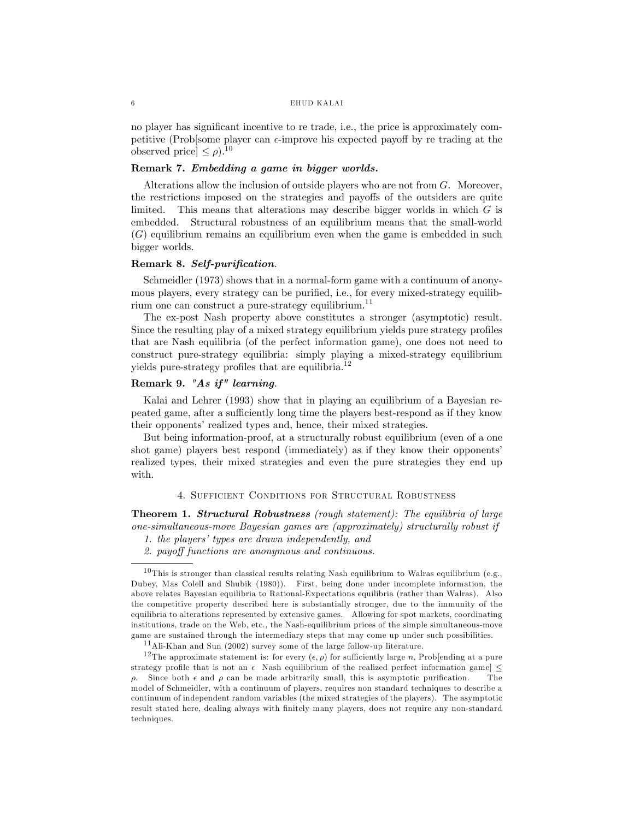#### 6 EHUD KALAI

no player has significant incentive to re trade, i.e., the price is approximately competitive (Prob[some player can  $\epsilon$ -improve his expected payoff by re trading at the observed price  $\leq \rho$ ).<sup>10</sup>

# Remark 7. Embedding a game in bigger worlds.

Alterations allow the inclusion of outside players who are not from  $G$ . Moreover, the restrictions imposed on the strategies and payoffs of the outsiders are quite limited. This means that alterations may describe bigger worlds in which  $G$  is embedded. Structural robustness of an equilibrium means that the small-world (G) equilibrium remains an equilibrium even when the game is embedded in such bigger worlds.

# Remark 8. Self-purification.

Schmeidler (1973) shows that in a normal-form game with a continuum of anonymous players, every strategy can be purified, i.e., for every mixed-strategy equilibrium one can construct a pure-strategy equilibrium.<sup>11</sup>

The ex-post Nash property above constitutes a stronger (asymptotic) result. Since the resulting play of a mixed strategy equilibrium yields pure strategy profiles that are Nash equilibria (of the perfect information game), one does not need to construct pure-strategy equilibria: simply playing a mixed-strategy equilibrium yields pure-strategy profiles that are equilibria.<sup>12</sup>

# Remark 9. "As if" learning.

Kalai and Lehrer (1993) show that in playing an equilibrium of a Bayesian repeated game, after a sufficiently long time the players best-respond as if they know their opponents' realized types and, hence, their mixed strategies.

But being information-proof, at a structurally robust equilibrium (even of a one shot game) players best respond (immediately) as if they know their opponents realized types, their mixed strategies and even the pure strategies they end up with.

# 4. Sufficient Conditions for Structural Robustness

Theorem 1. Structural Robustness (rough statement): The equilibria of large one-simultaneous-move Bayesian games are (approximately) structurally robust if

<sup>1.</sup> the players' types are drawn independently, and

<sup>2.</sup> payoff functions are anonymous and continuous.

 $10$ This is stronger than classical results relating Nash equilibrium to Walras equilibrium (e.g., Dubey, Mas Colell and Shubik (1980)). First, being done under incomplete information, the above relates Bayesian equilibria to Rational-Expectations equilibria (rather than Walras). Also the competitive property described here is substantially stronger, due to the immunity of the equilibria to alterations represented by extensive games. Allowing for spot markets, coordinating institutions, trade on the Web, etc., the Nash-equilibrium prices of the simple simultaneous-move game are sustained through the intermediary steps that may come up under such possibilities.

<sup>11</sup>Ali-Khan and Sun (2002) survey some of the large follow-up literature.

<sup>&</sup>lt;sup>12</sup>The approximate statement is: for every  $(\epsilon, \rho)$  for sufficiently large n, Prob[ending at a pure strategy profile that is not an  $\epsilon$  Nash equilibrium of the realized perfect information game]  $\leq$   $\rho$ . Since both  $\epsilon$  and  $\rho$  can be made arbitrarily small, this is asymptotic purification. The  $\rho$ . Since both  $\epsilon$  and  $\rho$  can be made arbitrarily small, this is asymptotic purification. model of Schmeidler, with a continuum of players, requires non standard techniques to describe a continuum of independent random variables (the mixed strategies of the players). The asymptotic result stated here, dealing always with finitely many players, does not require any non-standard techniques.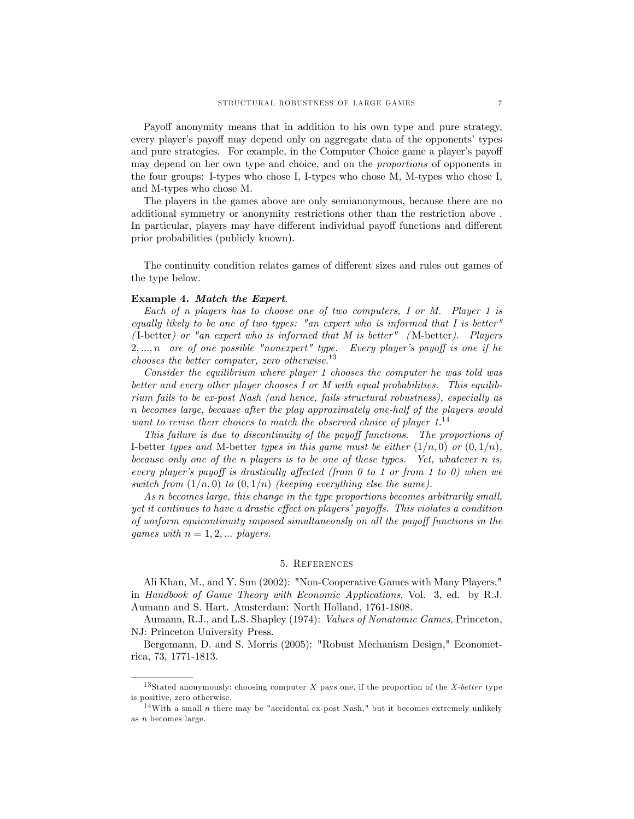Payoff anonymity means that in addition to his own type and pure strategy, every player's payoff may depend only on aggregate data of the opponents' types and pure strategies. For example, in the Computer Choice game a player's payoff may depend on her own type and choice, and on the proportions of opponents in the four groups: I-types who chose I, I-types who chose M, M-types who chose I, and M-types who chose M.

The players in the games above are only semianonymous, because there are no additional symmetry or anonymity restrictions other than the restriction above . In particular, players may have different individual payoff functions and different prior probabilities (publicly known).

The continuity condition relates games of different sizes and rules out games of the type below.

### Example 4. Match the Expert.

Each of n players has to choose one of two computers, I or M. Player 1 is equally likely to be one of two types: "an expert who is informed that I is better" (I-better) or "an expert who is informed that M is better" (M-better). Players  $2, \ldots, n$  are of one possible "nonexpert" type. Every player's payoff is one if he chooses the better computer, zero otherwise. $^{13}$ 

Consider the equilibrium where player 1 chooses the computer he was told was better and every other player chooses I or M with equal probabilities. This equilibrium fails to be ex-post Nash (and hence, fails structural robustness), especially as n becomes large, because after the play approximately one-half of the players would want to revise their choices to match the observed choice of player  $1^{14}$ 

This failure is due to discontinuity of the payoff functions. The proportions of I-better types and M-better types in this game must be either  $(1/n, 0)$  or  $(0, 1/n)$ , because only one of the n players is to be one of these types. Yet, whatever n is, every player's payoff is drastically affected (from  $\theta$  to  $1$  or from  $1$  to  $\theta$ ) when we switch from  $(1/n, 0)$  to  $(0, 1/n)$  (keeping everything else the same).

As n becomes large, this change in the type proportions becomes arbitrarily small, yet it continues to have a drastic effect on players' payoffs. This violates a condition of uniform equicontinuity imposed simultaneously on all the payoff functions in the games with  $n = 1, 2, \dots$  players.

## 5. References

Ali Khan, M., and Y. Sun (2002): "Non-Cooperative Games with Many Players," in Handbook of Game Theory with Economic Applications, Vol. 3, ed. by R.J. Aumann and S. Hart. Amsterdam: North Holland, 1761-1808.

Aumann, R.J., and L.S. Shapley (1974): Values of Nonatomic Games, Princeton, NJ: Princeton University Press.

Bergemann, D. and S. Morris (2005): "Robust Mechanism Design," Econometrica, 73, 1771-1813.

<sup>&</sup>lt;sup>13</sup>Stated anonymously: choosing computer X pays one, if the proportion of the X-better type is positive, zero otherwise.

<sup>&</sup>lt;sup>14</sup>With a small *n* there may be "accidental ex-post Nash," but it becomes extremely unlikely as n becomes large.